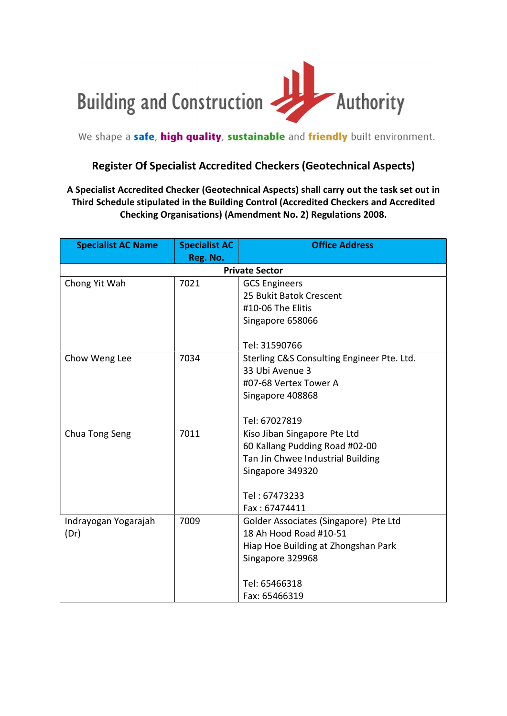

We shape a safe, high quality, sustainable and friendly built environment.

## Register Of Specialist Accredited Checkers (Geotechnical Aspects)

## A Specialist Accredited Checker (Geotechnical Aspects) shall carry out the task set out in Third Schedule stipulated in the Building Control (Accredited Checkers and Accredited Checking Organisations) (Amendment No. 2) Regulations 2008.

| <b>Specialist AC Name</b> | <b>Specialist AC</b> | <b>Office Address</b>                      |
|---------------------------|----------------------|--------------------------------------------|
|                           | Reg. No.             |                                            |
|                           |                      | <b>Private Sector</b>                      |
| Chong Yit Wah             | 7021                 | <b>GCS Engineers</b>                       |
|                           |                      | 25 Bukit Batok Crescent                    |
|                           |                      | #10-06 The Elitis                          |
|                           |                      | Singapore 658066                           |
|                           |                      | Tel: 31590766                              |
| Chow Weng Lee             | 7034                 | Sterling C&S Consulting Engineer Pte. Ltd. |
|                           |                      | 33 Ubi Avenue 3                            |
|                           |                      | #07-68 Vertex Tower A                      |
|                           |                      | Singapore 408868                           |
|                           |                      |                                            |
|                           |                      | Tel: 67027819                              |
| Chua Tong Seng            | 7011                 | Kiso Jiban Singapore Pte Ltd               |
|                           |                      | 60 Kallang Pudding Road #02-00             |
|                           |                      | Tan Jin Chwee Industrial Building          |
|                           |                      | Singapore 349320                           |
|                           |                      | Tel: 67473233                              |
|                           |                      | Fax: 67474411                              |
| Indrayogan Yogarajah      | 7009                 | Golder Associates (Singapore) Pte Ltd      |
| (Dr)                      |                      | 18 Ah Hood Road #10-51                     |
|                           |                      | Hiap Hoe Building at Zhongshan Park        |
|                           |                      | Singapore 329968                           |
|                           |                      |                                            |
|                           |                      | Tel: 65466318                              |
|                           |                      | Fax: 65466319                              |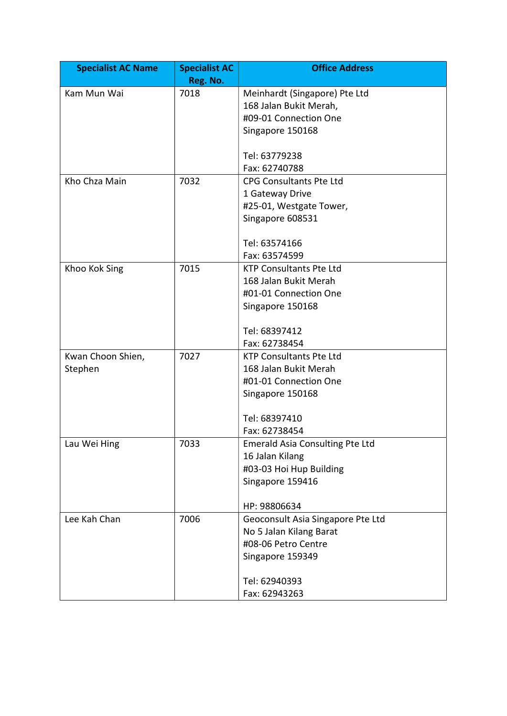| <b>Specialist AC Name</b> | <b>Specialist AC</b><br>Reg. No. | <b>Office Address</b>                                     |
|---------------------------|----------------------------------|-----------------------------------------------------------|
| Kam Mun Wai               | 7018                             | Meinhardt (Singapore) Pte Ltd                             |
|                           |                                  | 168 Jalan Bukit Merah,                                    |
|                           |                                  | #09-01 Connection One                                     |
|                           |                                  | Singapore 150168                                          |
|                           |                                  |                                                           |
|                           |                                  | Tel: 63779238                                             |
|                           |                                  | Fax: 62740788                                             |
| Kho Chza Main             | 7032                             | <b>CPG Consultants Pte Ltd</b>                            |
|                           |                                  | 1 Gateway Drive                                           |
|                           |                                  | #25-01, Westgate Tower,                                   |
|                           |                                  | Singapore 608531                                          |
|                           |                                  |                                                           |
|                           |                                  | Tel: 63574166                                             |
|                           |                                  | Fax: 63574599                                             |
| Khoo Kok Sing             | 7015                             | <b>KTP Consultants Pte Ltd</b>                            |
|                           |                                  | 168 Jalan Bukit Merah                                     |
|                           |                                  | #01-01 Connection One                                     |
|                           |                                  | Singapore 150168                                          |
|                           |                                  |                                                           |
|                           |                                  | Tel: 68397412                                             |
|                           |                                  | Fax: 62738454                                             |
| Kwan Choon Shien,         | 7027                             | <b>KTP Consultants Pte Ltd</b>                            |
| Stephen                   |                                  | 168 Jalan Bukit Merah                                     |
|                           |                                  | #01-01 Connection One                                     |
|                           |                                  | Singapore 150168                                          |
|                           |                                  |                                                           |
|                           |                                  | Tel: 68397410<br>Fax: 62738454                            |
|                           |                                  |                                                           |
| Lau Wei Hing              | 7033                             | <b>Emerald Asia Consulting Pte Ltd</b><br>16 Jalan Kilang |
|                           |                                  | #03-03 Hoi Hup Building                                   |
|                           |                                  | Singapore 159416                                          |
|                           |                                  |                                                           |
|                           |                                  | HP: 98806634                                              |
| Lee Kah Chan              | 7006                             | Geoconsult Asia Singapore Pte Ltd                         |
|                           |                                  | No 5 Jalan Kilang Barat                                   |
|                           |                                  | #08-06 Petro Centre                                       |
|                           |                                  | Singapore 159349                                          |
|                           |                                  |                                                           |
|                           |                                  | Tel: 62940393                                             |
|                           |                                  | Fax: 62943263                                             |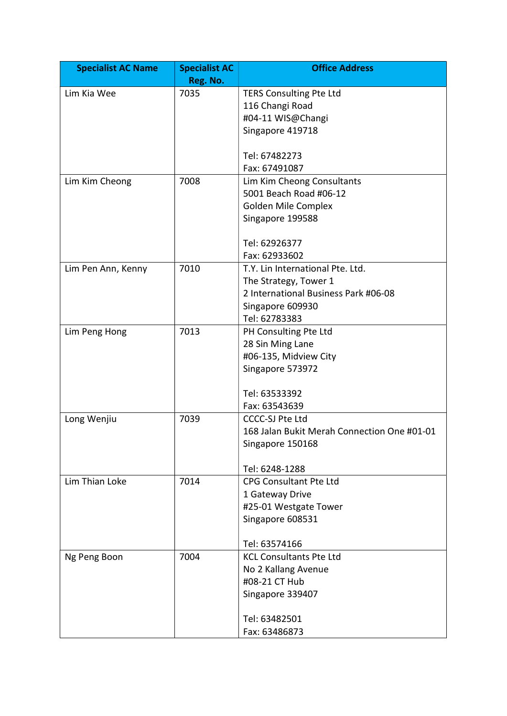| <b>Specialist AC Name</b> | <b>Specialist AC</b> | <b>Office Address</b>                       |
|---------------------------|----------------------|---------------------------------------------|
|                           | Reg. No.             |                                             |
| Lim Kia Wee               | 7035                 | TERS Consulting Pte Ltd                     |
|                           |                      | 116 Changi Road                             |
|                           |                      | #04-11 WIS@Changi                           |
|                           |                      | Singapore 419718                            |
|                           |                      | Tel: 67482273                               |
|                           |                      | Fax: 67491087                               |
| Lim Kim Cheong            | 7008                 | Lim Kim Cheong Consultants                  |
|                           |                      | 5001 Beach Road #06-12                      |
|                           |                      | Golden Mile Complex                         |
|                           |                      | Singapore 199588                            |
|                           |                      |                                             |
|                           |                      | Tel: 62926377                               |
|                           |                      | Fax: 62933602                               |
| Lim Pen Ann, Kenny        | 7010                 | T.Y. Lin International Pte. Ltd.            |
|                           |                      | The Strategy, Tower 1                       |
|                           |                      | 2 International Business Park #06-08        |
|                           |                      | Singapore 609930                            |
|                           |                      | Tel: 62783383                               |
| Lim Peng Hong             | 7013                 | PH Consulting Pte Ltd                       |
|                           |                      | 28 Sin Ming Lane                            |
|                           |                      | #06-135, Midview City                       |
|                           |                      | Singapore 573972                            |
|                           |                      |                                             |
|                           |                      | Tel: 63533392                               |
|                           |                      | Fax: 63543639                               |
| Long Wenjiu               | 7039                 | <b>CCCC-SJ Pte Ltd</b>                      |
|                           |                      | 168 Jalan Bukit Merah Connection One #01-01 |
|                           |                      | Singapore 150168                            |
|                           |                      |                                             |
|                           |                      | Tel: 6248-1288                              |
| Lim Thian Loke            | 7014                 | <b>CPG Consultant Pte Ltd</b>               |
|                           |                      | 1 Gateway Drive                             |
|                           |                      | #25-01 Westgate Tower                       |
|                           |                      | Singapore 608531                            |
|                           |                      |                                             |
|                           |                      | Tel: 63574166                               |
| Ng Peng Boon              | 7004                 | <b>KCL Consultants Pte Ltd</b>              |
|                           |                      | No 2 Kallang Avenue                         |
|                           |                      | #08-21 CT Hub                               |
|                           |                      | Singapore 339407                            |
|                           |                      |                                             |
|                           |                      | Tel: 63482501                               |
|                           |                      | Fax: 63486873                               |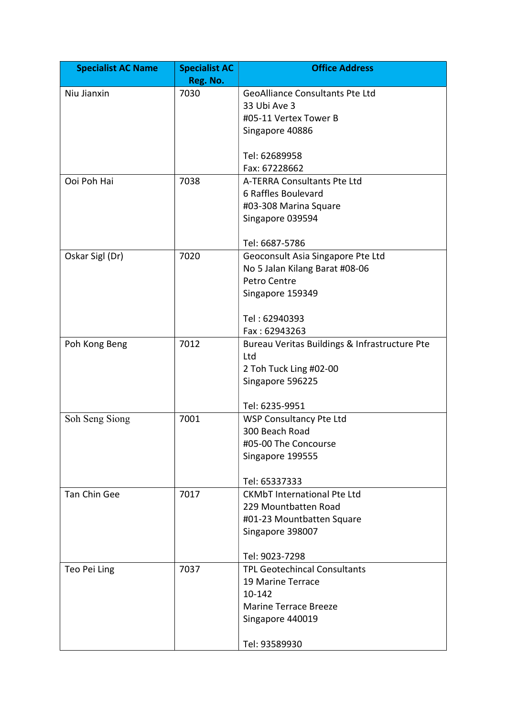| <b>Specialist AC Name</b> | <b>Specialist AC</b> | <b>Office Address</b>                         |
|---------------------------|----------------------|-----------------------------------------------|
|                           | Reg. No.             |                                               |
| Niu Jianxin               | 7030                 | <b>GeoAlliance Consultants Pte Ltd</b>        |
|                           |                      | 33 Ubi Ave 3                                  |
|                           |                      | #05-11 Vertex Tower B                         |
|                           |                      | Singapore 40886                               |
|                           |                      |                                               |
|                           |                      | Tel: 62689958                                 |
| Ooi Poh Hai               | 7038                 | Fax: 67228662<br>A-TERRA Consultants Pte Ltd  |
|                           |                      | 6 Raffles Boulevard                           |
|                           |                      | #03-308 Marina Square                         |
|                           |                      | Singapore 039594                              |
|                           |                      |                                               |
|                           |                      | Tel: 6687-5786                                |
| Oskar Sigl (Dr)           | 7020                 | Geoconsult Asia Singapore Pte Ltd             |
|                           |                      | No 5 Jalan Kilang Barat #08-06                |
|                           |                      | Petro Centre                                  |
|                           |                      | Singapore 159349                              |
|                           |                      | Tel: 62940393                                 |
|                           |                      | Fax: 62943263                                 |
| Poh Kong Beng             | 7012                 | Bureau Veritas Buildings & Infrastructure Pte |
|                           |                      | Ltd                                           |
|                           |                      | 2 Toh Tuck Ling #02-00                        |
|                           |                      | Singapore 596225                              |
|                           |                      |                                               |
|                           |                      | Tel: 6235-9951                                |
| Soh Seng Siong            | 7001                 | WSP Consultancy Pte Ltd                       |
|                           |                      | 300 Beach Road                                |
|                           |                      | #05-00 The Concourse                          |
|                           |                      | Singapore 199555                              |
|                           |                      | Tel: 65337333                                 |
| <b>Tan Chin Gee</b>       | 7017                 | <b>CKMbT International Pte Ltd</b>            |
|                           |                      | 229 Mountbatten Road                          |
|                           |                      | #01-23 Mountbatten Square                     |
|                           |                      | Singapore 398007                              |
|                           |                      |                                               |
|                           |                      | Tel: 9023-7298                                |
| Teo Pei Ling              | 7037                 | <b>TPL Geotechincal Consultants</b>           |
|                           |                      | 19 Marine Terrace                             |
|                           |                      | 10-142                                        |
|                           |                      | <b>Marine Terrace Breeze</b>                  |
|                           |                      | Singapore 440019                              |
|                           |                      | Tel: 93589930                                 |